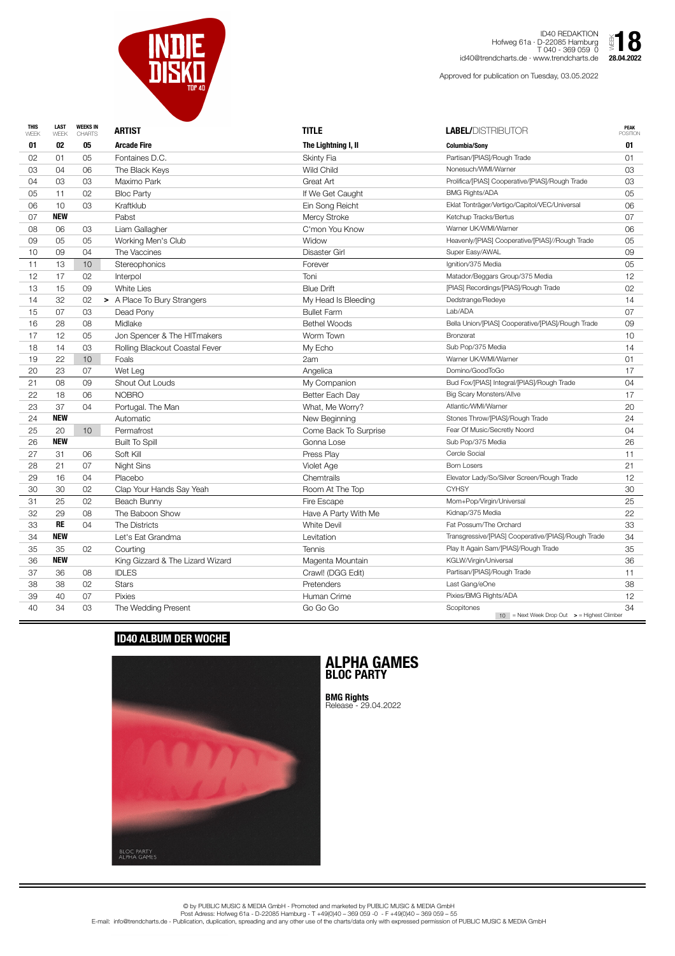| <b>THIS</b><br>WEEK | <b>LAST</b><br>WEEK | <b>WEEKS IN</b><br><b>CHARTS</b> | <b>ARTIST</b>                    | <b>TITLE</b>          | <b>LABEL/DISTRIBUTOR</b>                                                | <b>PEAK</b><br><b>POSITION</b> |
|---------------------|---------------------|----------------------------------|----------------------------------|-----------------------|-------------------------------------------------------------------------|--------------------------------|
| 01                  | 02                  | 05                               | <b>Arcade Fire</b>               | The Lightning I, II   | <b>Columbia/Sony</b>                                                    | 01                             |
| 02                  | 01                  | 05                               | Fontaines D.C.                   | <b>Skinty Fia</b>     | Partisan/[PIAS]/Rough Trade                                             | 01                             |
| 03                  | 04                  | 06                               | The Black Keys                   | <b>Wild Child</b>     | Nonesuch/WMI/Warner                                                     | 03                             |
| 04                  | 03                  | 03                               | Maximo Park                      | Great Art             | Prolifica/[PIAS] Cooperative/[PIAS]/Rough Trade                         | 03                             |
| 05                  | 11                  | 02                               | <b>Bloc Party</b>                | If We Get Caught      | <b>BMG Rights/ADA</b>                                                   | 05                             |
| 06                  | 10                  | 03                               | Kraftklub                        | Ein Song Reicht       | Eklat Tonträger/Vertigo/Capitol/VEC/Universal                           | 06                             |
| 07                  | <b>NEW</b>          |                                  | Pabst                            | <b>Mercy Stroke</b>   | Ketchup Tracks/Bertus                                                   | 07                             |
| 08                  | 06                  | 03                               | Liam Gallagher                   | C'mon You Know        | Warner UK/WMI/Warner                                                    | 06                             |
| 09                  | 05                  | 05                               | Working Men's Club               | Widow                 | Heavenly/[PIAS] Cooperative/[PIAS]//Rough Trade                         | 05                             |
| 10                  | 09                  | 04                               | The Vaccines                     | <b>Disaster Girl</b>  | Super Easy/AWAL                                                         | 09                             |
| 11                  | 13                  | 10 <sup>°</sup>                  | Stereophonics                    | Forever               | Ignition/375 Media                                                      | 05                             |
| 12                  | 17                  | 02                               | Interpol                         | Toni                  | Matador/Beggars Group/375 Media                                         | 12                             |
| 13                  | 15                  | 09                               | <b>White Lies</b>                | <b>Blue Drift</b>     | [PIAS] Recordings/[PIAS]/Rough Trade                                    | 02                             |
| 14                  | 32                  | 02                               | > A Place To Bury Strangers      | My Head Is Bleeding   | Dedstrange/Redeye                                                       | 14                             |
| 15                  | 07                  | 03                               | Dead Pony                        | <b>Bullet Farm</b>    | Lab/ADA                                                                 | 07                             |
| 16                  | 28                  | 08                               | Midlake                          | <b>Bethel Woods</b>   | Bella Union/[PIAS] Cooperative/[PIAS]/Rough Trade                       | 09                             |
| 17                  | 12                  | 05                               | Jon Spencer & The HITmakers      | Worm Town             | <b>Bronzerat</b>                                                        | 10                             |
| 18                  | 14                  | 03                               | Rolling Blackout Coastal Fever   | My Echo               | Sub Pop/375 Media                                                       | 14                             |
| 19                  | 22                  | 10 <sup>°</sup>                  | Foals                            | 2am                   | Warner UK/WMI/Warner                                                    | 01                             |
| 20                  | 23                  | 07                               | Wet Leg                          | Angelica              | Domino/GoodToGo                                                         | 17                             |
| 21                  | 08                  | 09                               | Shout Out Louds                  | My Companion          | Bud Fox/[PIAS] Integral/[PIAS]/Rough Trade                              | 04                             |
| 22                  | 18                  | 06                               | <b>NOBRO</b>                     | Better Each Day       | <b>Big Scary Monsters/Allve</b>                                         | 17                             |
| 23                  | 37                  | 04                               | Portugal. The Man                | What, Me Worry?       | Atlantic/WMI/Warner                                                     | 20                             |
| 24                  | <b>NEW</b>          |                                  | Automatic                        | New Beginning         | Stones Throw/[PIAS]/Rough Trade                                         | 24                             |
| 25                  | 20                  | 10 <sup>°</sup>                  | Permafrost                       | Come Back To Surprise | Fear Of Music/Secretly Noord                                            | 04                             |
| 26                  | <b>NEW</b>          |                                  | <b>Built To Spill</b>            | Gonna Lose            | Sub Pop/375 Media                                                       | 26                             |
| 27                  | 31                  | 06                               | Soft Kill                        | Press Play            | Cercle Social                                                           | 11                             |
| 28                  | 21                  | 07                               | Night Sins                       | Violet Age            | <b>Born Losers</b>                                                      | 21                             |
| 29                  | 16                  | 04                               | Placebo                          | <b>Chemtrails</b>     | Elevator Lady/So/Silver Screen/Rough Trade                              | 12                             |
| 30                  | 30                  | 02                               | Clap Your Hands Say Yeah         | Room At The Top       | <b>CYHSY</b>                                                            | 30                             |
| 31                  | 25                  | 02                               | Beach Bunny                      | Fire Escape           | Mom+Pop/Virgin/Universal                                                | 25                             |
| 32                  | 29                  | 08                               | The Baboon Show                  | Have A Party With Me  | Kidnap/375 Media                                                        | 22                             |
| 33                  | <b>RE</b>           | 04                               | The Districts                    | <b>White Devil</b>    | Fat Possum/The Orchard                                                  | 33                             |
| 34                  | <b>NEW</b>          |                                  | Let's Eat Grandma                | Levitation            | Transgressive/[PIAS] Cooperative/[PIAS]/Rough Trade                     | 34                             |
| 35                  | 35                  | 02                               | Courting                         | <b>Tennis</b>         | Play It Again Sam/[PIAS]/Rough Trade                                    | 35                             |
| 36                  | <b>NEW</b>          |                                  | King Gizzard & The Lizard Wizard | Magenta Mountain      | KGLW/Virgin/Universal                                                   | 36                             |
| 37                  | 36                  | 08                               | <b>IDLES</b>                     | Crawl! (DGG Edit)     | Partisan/[PIAS]/Rough Trade                                             | 11                             |
| 38                  | 38                  | 02                               | <b>Stars</b>                     | Pretenders            | Last Gang/eOne                                                          | 38                             |
| 39                  | 40                  | 07                               | <b>Pixies</b>                    | Human Crime           | Pixies/BMG Rights/ADA                                                   | 12                             |
| 40                  | 34                  | 03                               | The Wedding Present              | Go Go Go              | Scopitones<br>$10$ = Next Week Drop Out $\rightarrow$ = Highest Climber | 34                             |



ID40 REDAKTION Hofweg 61a · D-22085 Hamburg T 040 - 369 059 0 id40@trendcharts.de · www.trendcharts.de

Approved for publication on Tuesday, 03.05.2022



© by PUBLIC MUSIC & MEDIA GmbH - Promoted and marketed by PUBLIC MUSIC & MEDIA GmbH Post Adress: Hofweg 61a - D-22085 Hamburg - T +49(0)40 – 369 059 -0 - F +49(0)40 – 369 059 – 55 E-mail: info@trendcharts.de - Publication, duplication, spreading and any other use of the charts/data only with expressed permission of PUBLIC MUSIC & MEDIA GmbH

## **ID40 ALBUM DER WOCHE**



## **ALPHA GAMES BLOC PARTY**

**BMG Rights** Release - 29.04.2022